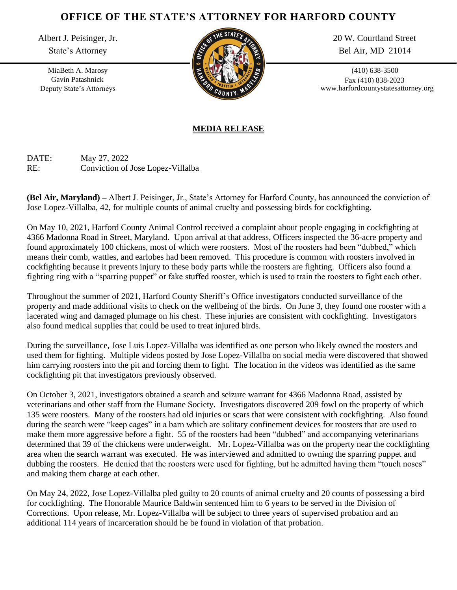## **OFFICE OF THE STATE'S ATTORNEY FOR HARFORD COUNTY**

Albert J. Peisinger, Jr.

State's Attorney

MiaBeth A. Marosy Gavin Patashnick Deputy State's Attorneys



20 W. Courtland Street Bel Air, MD 21014

(410) 638-3500 Fax (410) 838-2023 www.harfordcountystatesattorney.org

## **MEDIA RELEASE**

DATE: May 27, 2022 RE: Conviction of Jose Lopez-Villalba

**(Bel Air, Maryland) –** Albert J. Peisinger, Jr., State's Attorney for Harford County, has announced the conviction of Jose Lopez-Villalba, 42, for multiple counts of animal cruelty and possessing birds for cockfighting.

On May 10, 2021, Harford County Animal Control received a complaint about people engaging in cockfighting at 4366 Madonna Road in Street, Maryland. Upon arrival at that address, Officers inspected the 36-acre property and found approximately 100 chickens, most of which were roosters. Most of the roosters had been "dubbed," which means their comb, wattles, and earlobes had been removed. This procedure is common with roosters involved in cockfighting because it prevents injury to these body parts while the roosters are fighting. Officers also found a fighting ring with a "sparring puppet" or fake stuffed rooster, which is used to train the roosters to fight each other.

Throughout the summer of 2021, Harford County Sheriff's Office investigators conducted surveillance of the property and made additional visits to check on the wellbeing of the birds. On June 3, they found one rooster with a lacerated wing and damaged plumage on his chest. These injuries are consistent with cockfighting. Investigators also found medical supplies that could be used to treat injured birds.

During the surveillance, Jose Luis Lopez-Villalba was identified as one person who likely owned the roosters and used them for fighting. Multiple videos posted by Jose Lopez-Villalba on social media were discovered that showed him carrying roosters into the pit and forcing them to fight. The location in the videos was identified as the same cockfighting pit that investigators previously observed.

On October 3, 2021, investigators obtained a search and seizure warrant for 4366 Madonna Road, assisted by veterinarians and other staff from the Humane Society. Investigators discovered 209 fowl on the property of which 135 were roosters. Many of the roosters had old injuries or scars that were consistent with cockfighting. Also found during the search were "keep cages" in a barn which are solitary confinement devices for roosters that are used to make them more aggressive before a fight. 55 of the roosters had been "dubbed" and accompanying veterinarians determined that 39 of the chickens were underweight. Mr. Lopez-Villalba was on the property near the cockfighting area when the search warrant was executed. He was interviewed and admitted to owning the sparring puppet and dubbing the roosters. He denied that the roosters were used for fighting, but he admitted having them "touch noses" and making them charge at each other.

On May 24, 2022, Jose Lopez-Villalba pled guilty to 20 counts of animal cruelty and 20 counts of possessing a bird for cockfighting. The Honorable Maurice Baldwin sentenced him to 6 years to be served in the Division of Corrections. Upon release, Mr. Lopez-Villalba will be subject to three years of supervised probation and an additional 114 years of incarceration should he be found in violation of that probation.